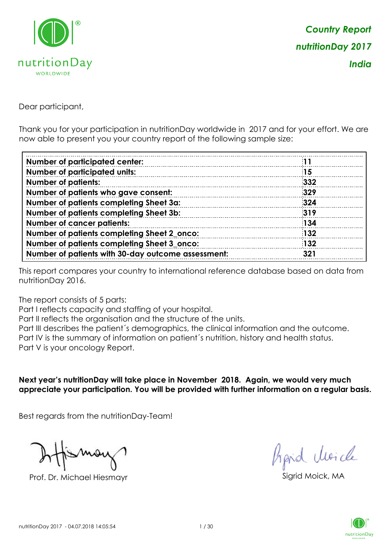

Dear participant,

Thank you for your participation in nutritionDay worldwide in 2017 and for your effort. We are now able to present you your country report of the following sample size:

| <b>Number of participated center:</b>              |            |
|----------------------------------------------------|------------|
| <b>Number of participated units:</b>               | <b>15</b>  |
| <b>Number of patients:</b>                         | 332        |
| Number of patients who gave consent:               | 329        |
| Number of patients completing Sheet 3a:            | 324        |
| Number of patients completing Sheet 3b:            | 319        |
| <b>Number of cancer patients:</b>                  | 134        |
| Number of patients completing Sheet 2_onco:        | <b>132</b> |
| Number of patients completing Sheet 3_onco:        | <b>132</b> |
| Number of patients with 30-day outcome assessment: | 321        |

This report compares your country to international reference database based on data from nutritionDay 2016.

The report consists of 5 parts:

Part I reflects capacity and staffing of your hospital.

Part II reflects the organisation and the structure of the units.

Part III describes the patient´s demographics, the clinical information and the outcome.

Part IV is the summary of information on patient´s nutrition, history and health status.

Part V is your oncology Report.

**Next year's nutritionDay will take place in November 2018. Again, we would very much appreciate your participation. You will be provided with further information on a regular basis.**

Best regards from the nutritionDay-Team!

Prof. Dr. Michael Hiesmayr Sigrid Moick, MA

fraid Moicle

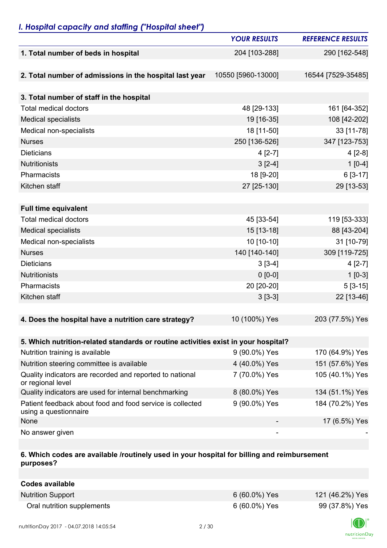## *I. Hospital capacity and staffing ("Hospital sheet")*

|                                                                                    | <b>YOUR RESULTS</b> | <b>REFERENCE RESULTS</b> |
|------------------------------------------------------------------------------------|---------------------|--------------------------|
| 1. Total number of beds in hospital                                                | 204 [103-288]       | 290 [162-548]            |
|                                                                                    |                     |                          |
| 2. Total number of admissions in the hospital last year                            | 10550 [5960-13000]  | 16544 [7529-35485]       |
|                                                                                    |                     |                          |
| 3. Total number of staff in the hospital                                           |                     |                          |
| <b>Total medical doctors</b>                                                       | 48 [29-133]         | 161 [64-352]             |
| <b>Medical specialists</b>                                                         | 19 [16-35]          | 108 [42-202]             |
| Medical non-specialists                                                            | 18 [11-50]          | 33 [11-78]               |
| <b>Nurses</b>                                                                      | 250 [136-526]       | 347 [123-753]            |
| <b>Dieticians</b>                                                                  | $4 [2-7]$           | $4[2-8]$                 |
| <b>Nutritionists</b>                                                               | $3[2-4]$            | $1[0-4]$                 |
| Pharmacists                                                                        | 18 [9-20]           | $6[3-17]$                |
| Kitchen staff                                                                      | 27 [25-130]         | 29 [13-53]               |
|                                                                                    |                     |                          |
| <b>Full time equivalent</b>                                                        |                     |                          |
| <b>Total medical doctors</b>                                                       | 45 [33-54]          | 119 [53-333]             |
| <b>Medical specialists</b>                                                         | 15 [13-18]          | 88 [43-204]              |
| Medical non-specialists                                                            | 10 [10-10]          | 31 [10-79]               |
| <b>Nurses</b>                                                                      | 140 [140-140]       | 309 [119-725]            |
| <b>Dieticians</b>                                                                  | $3[3-4]$            | $4[2-7]$                 |
| <b>Nutritionists</b>                                                               | $0 [0-0]$           | $1[0-3]$                 |
| Pharmacists                                                                        | 20 [20-20]          | $5[3-15]$                |
| Kitchen staff                                                                      | $3[3-3]$            | 22 [13-46]               |
|                                                                                    |                     |                          |
| 4. Does the hospital have a nutrition care strategy?                               | 10 (100%) Yes       | 203 (77.5%) Yes          |
|                                                                                    |                     |                          |
| 5. Which nutrition-related standards or routine activities exist in your hospital? |                     |                          |
| Nutrition training is available                                                    | 9 (90.0%) Yes       | 170 (64.9%) Yes          |
| Nutrition steering committee is available                                          | 4 (40.0%) Yes       | 151 (57.6%) Yes          |
| Quality indicators are recorded and reported to national<br>or regional level      | 7 (70.0%) Yes       | 105 (40.1%) Yes          |
| Quality indicators are used for internal benchmarking                              | 8 (80.0%) Yes       | 134 (51.1%) Yes          |
| Patient feedback about food and food service is collected<br>using a questionnaire | 9 (90.0%) Yes       | 184 (70.2%) Yes          |
| None                                                                               |                     | 17 (6.5%) Yes            |
| No answer given                                                                    |                     |                          |

### **6. Which codes are available /routinely used in your hospital for billing and reimbursement purposes?**

| Codes available            |                 |                 |
|----------------------------|-----------------|-----------------|
| <b>Nutrition Support</b>   | $6(60.0\%)$ Yes | 121 (46.2%) Yes |
| Oral nutrition supplements | 6 (60.0%) Yes   | 99 (37.8%) Yes  |

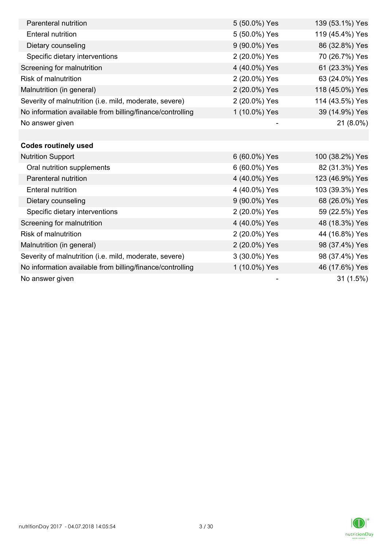| Parenteral nutrition                                      | 5 (50.0%) Yes | 139 (53.1%) Yes |
|-----------------------------------------------------------|---------------|-----------------|
| <b>Enteral nutrition</b>                                  | 5 (50.0%) Yes | 119 (45.4%) Yes |
| Dietary counseling                                        | 9 (90.0%) Yes | 86 (32.8%) Yes  |
| Specific dietary interventions                            | 2 (20.0%) Yes | 70 (26.7%) Yes  |
| Screening for malnutrition                                | 4 (40.0%) Yes | 61 (23.3%) Yes  |
| Risk of malnutrition                                      | 2 (20.0%) Yes | 63 (24.0%) Yes  |
| Malnutrition (in general)                                 | 2 (20.0%) Yes | 118 (45.0%) Yes |
| Severity of malnutrition (i.e. mild, moderate, severe)    | 2 (20.0%) Yes | 114 (43.5%) Yes |
| No information available from billing/finance/controlling | 1 (10.0%) Yes | 39 (14.9%) Yes  |
| No answer given                                           |               | 21 (8.0%)       |
|                                                           |               |                 |
| <b>Codes routinely used</b>                               |               |                 |
| <b>Nutrition Support</b>                                  | 6 (60.0%) Yes | 100 (38.2%) Yes |
| Oral nutrition supplements                                | 6 (60.0%) Yes | 82 (31.3%) Yes  |
| Parenteral nutrition                                      | 4 (40.0%) Yes | 123 (46.9%) Yes |
| <b>Enteral nutrition</b>                                  | 4 (40.0%) Yes | 103 (39.3%) Yes |
| Dietary counseling                                        | 9 (90.0%) Yes | 68 (26.0%) Yes  |
| Specific dietary interventions                            | 2 (20.0%) Yes | 59 (22.5%) Yes  |
| Screening for malnutrition                                | 4 (40.0%) Yes | 48 (18.3%) Yes  |
| <b>Risk of malnutrition</b>                               | 2 (20.0%) Yes | 44 (16.8%) Yes  |
| Malnutrition (in general)                                 | 2 (20.0%) Yes | 98 (37.4%) Yes  |
| Severity of malnutrition (i.e. mild, moderate, severe)    | 3 (30.0%) Yes | 98 (37.4%) Yes  |
| No information available from billing/finance/controlling | 1 (10.0%) Yes | 46 (17.6%) Yes  |
| No answer given                                           |               | 31(1.5%)        |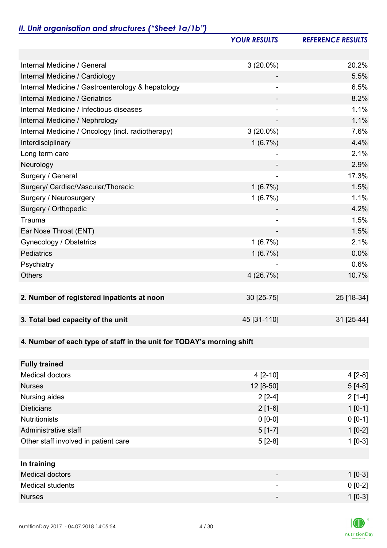# *II. Unit organisation and structures ("Sheet 1a/1b")*

|                                                                       | <b>YOUR RESULTS</b>      | <b>REFERENCE RESULTS</b> |
|-----------------------------------------------------------------------|--------------------------|--------------------------|
|                                                                       |                          |                          |
| Internal Medicine / General                                           | $3(20.0\%)$              | 20.2%                    |
| Internal Medicine / Cardiology                                        |                          | 5.5%                     |
| Internal Medicine / Gastroenterology & hepatology                     |                          | 6.5%                     |
| Internal Medicine / Geriatrics                                        |                          | 8.2%                     |
| Internal Medicine / Infectious diseases                               |                          | 1.1%                     |
| Internal Medicine / Nephrology                                        | $\overline{\phantom{a}}$ | 1.1%                     |
| Internal Medicine / Oncology (incl. radiotherapy)                     | $3(20.0\%)$              | 7.6%                     |
| Interdisciplinary                                                     | 1(6.7%)                  | 4.4%                     |
| Long term care                                                        |                          | 2.1%                     |
| Neurology                                                             |                          | 2.9%                     |
| Surgery / General                                                     | $\overline{\phantom{a}}$ | 17.3%                    |
| Surgery/ Cardiac/Vascular/Thoracic                                    | 1(6.7%)                  | 1.5%                     |
| Surgery / Neurosurgery                                                | $1(6.7\%)$               | 1.1%                     |
| Surgery / Orthopedic                                                  |                          | 4.2%                     |
| Trauma                                                                | $\overline{a}$           | 1.5%                     |
| Ear Nose Throat (ENT)                                                 |                          | 1.5%                     |
| Gynecology / Obstetrics                                               | 1(6.7%)                  | 2.1%                     |
| Pediatrics                                                            | 1(6.7%)                  | 0.0%                     |
| Psychiatry                                                            |                          | 0.6%                     |
| <b>Others</b>                                                         | 4(26.7%)                 | 10.7%                    |
|                                                                       |                          |                          |
| 2. Number of registered inpatients at noon                            | 30 [25-75]               | 25 [18-34]               |
|                                                                       |                          |                          |
| 3. Total bed capacity of the unit                                     | 45 [31-110]              | 31 [25-44]               |
|                                                                       |                          |                          |
| 4. Number of each type of staff in the unit for TODAY's morning shift |                          |                          |
|                                                                       |                          |                          |
| <b>Fully trained</b>                                                  |                          |                          |
| <b>Medical doctors</b>                                                | $4[2-10]$                | $4[2-8]$                 |
| <b>Nurses</b>                                                         | 12 [8-50]                | $5[4-8]$                 |
| Nursing aides                                                         | $2[2-4]$                 | $2[1-4]$                 |
| <b>Dieticians</b>                                                     | $2[1-6]$                 | $1 [0-1]$                |
| <b>Nutritionists</b>                                                  | $0 [0-0]$                | $0 [0-1]$                |
| Administrative staff                                                  | $5[1-7]$                 | $1[0-2]$                 |
| Other staff involved in patient care                                  | $5[2-8]$                 | $1[0-3]$                 |
|                                                                       |                          |                          |
| In training                                                           |                          |                          |
| <b>Medical doctors</b>                                                |                          | $1 [0-3]$                |
| <b>Medical students</b>                                               |                          | $0 [0-2]$                |
| <b>Nurses</b>                                                         |                          | $1 [0-3]$                |

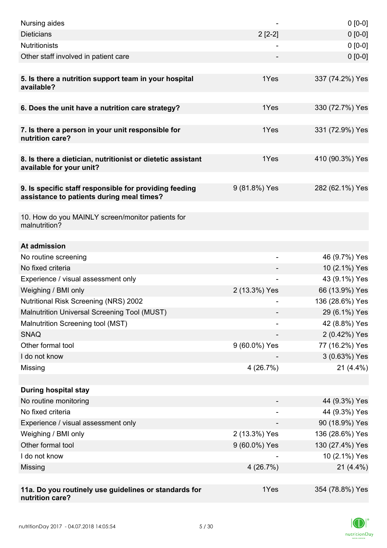| Nursing aides                                                                                       |               | $0 [0-0]$       |
|-----------------------------------------------------------------------------------------------------|---------------|-----------------|
| <b>Dieticians</b>                                                                                   | $2[2-2]$      | $0 [0-0]$       |
| <b>Nutritionists</b>                                                                                |               | $0 [0-0]$       |
| Other staff involved in patient care                                                                |               | $0 [0-0]$       |
|                                                                                                     |               |                 |
| 5. Is there a nutrition support team in your hospital<br>available?                                 | 1Yes          | 337 (74.2%) Yes |
| 6. Does the unit have a nutrition care strategy?                                                    | 1Yes          | 330 (72.7%) Yes |
|                                                                                                     |               |                 |
| 7. Is there a person in your unit responsible for<br>nutrition care?                                | 1Yes          | 331 (72.9%) Yes |
| 8. Is there a dietician, nutritionist or dietetic assistant<br>available for your unit?             | 1Yes          | 410 (90.3%) Yes |
| 9. Is specific staff responsible for providing feeding<br>assistance to patients during meal times? | 9 (81.8%) Yes | 282 (62.1%) Yes |
|                                                                                                     |               |                 |
| 10. How do you MAINLY screen/monitor patients for<br>malnutrition?                                  |               |                 |
| At admission                                                                                        |               |                 |
| No routine screening                                                                                |               | 46 (9.7%) Yes   |
| No fixed criteria                                                                                   |               | 10 (2.1%) Yes   |
| Experience / visual assessment only                                                                 |               | 43 (9.1%) Yes   |
| Weighing / BMI only                                                                                 | 2 (13.3%) Yes | 66 (13.9%) Yes  |
| <b>Nutritional Risk Screening (NRS) 2002</b>                                                        |               | 136 (28.6%) Yes |
| Malnutrition Universal Screening Tool (MUST)                                                        |               | 29 (6.1%) Yes   |
| Malnutrition Screening tool (MST)                                                                   |               | 42 (8.8%) Yes   |
| <b>SNAQ</b>                                                                                         |               | 2 (0.42%) Yes   |
| Other formal tool                                                                                   | 9 (60.0%) Yes | 77 (16.2%) Yes  |
| I do not know                                                                                       |               | 3 (0.63%) Yes   |
| Missing                                                                                             | 4(26.7%)      | $21(4.4\%)$     |
|                                                                                                     |               |                 |
| <b>During hospital stay</b>                                                                         |               |                 |
| No routine monitoring                                                                               |               | 44 (9.3%) Yes   |
| No fixed criteria                                                                                   |               | 44 (9.3%) Yes   |
| Experience / visual assessment only                                                                 |               | 90 (18.9%) Yes  |
| Weighing / BMI only                                                                                 | 2 (13.3%) Yes | 136 (28.6%) Yes |
| Other formal tool                                                                                   | 9 (60.0%) Yes | 130 (27.4%) Yes |
| I do not know                                                                                       |               | 10 (2.1%) Yes   |
| Missing                                                                                             | 4(26.7%)      | $21(4.4\%)$     |
|                                                                                                     |               |                 |
| 11a. Do you routinely use guidelines or standards for<br>nutrition care?                            | 1Yes          | 354 (78.8%) Yes |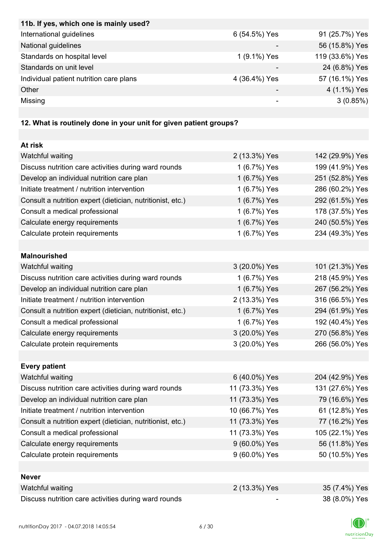| 11b. If yes, which one is mainly used?                            |                          |                 |
|-------------------------------------------------------------------|--------------------------|-----------------|
| International guidelines                                          | 6 (54.5%) Yes            | 91 (25.7%) Yes  |
| National guidelines                                               |                          | 56 (15.8%) Yes  |
| Standards on hospital level                                       | 1 (9.1%) Yes             | 119 (33.6%) Yes |
| Standards on unit level                                           |                          | 24 (6.8%) Yes   |
| Individual patient nutrition care plans                           | 4 (36.4%) Yes            | 57 (16.1%) Yes  |
| Other                                                             |                          | 4 (1.1%) Yes    |
| Missing                                                           | $\overline{\phantom{a}}$ | 3(0.85%)        |
| 12. What is routinely done in your unit for given patient groups? |                          |                 |
| At risk                                                           |                          |                 |
| Watchful waiting                                                  | 2 (13.3%) Yes            | 142 (29.9%) Yes |
| Discuss nutrition care activities during ward rounds              | 1 (6.7%) Yes             | 199 (41.9%) Yes |
| Develop an individual nutrition care plan                         | 1 (6.7%) Yes             | 251 (52.8%) Yes |
| Initiate treatment / nutrition intervention                       | 1 (6.7%) Yes             | 286 (60.2%) Yes |
| Consult a nutrition expert (dietician, nutritionist, etc.)        | 1 (6.7%) Yes             | 292 (61.5%) Yes |
| Consult a medical professional                                    | 1 (6.7%) Yes             | 178 (37.5%) Yes |
| Calculate energy requirements                                     | 1 (6.7%) Yes             | 240 (50.5%) Yes |
| Calculate protein requirements                                    | 1 (6.7%) Yes             | 234 (49.3%) Yes |
|                                                                   |                          |                 |
| <b>Malnourished</b>                                               |                          |                 |
| Watchful waiting                                                  | 3 (20.0%) Yes            | 101 (21.3%) Yes |
| Discuss nutrition care activities during ward rounds              | 1 (6.7%) Yes             | 218 (45.9%) Yes |
| Develop an individual nutrition care plan                         | 1 (6.7%) Yes             | 267 (56.2%) Yes |
| Initiate treatment / nutrition intervention                       | 2 (13.3%) Yes            | 316 (66.5%) Yes |
| Consult a nutrition expert (dietician, nutritionist, etc.)        | 1 (6.7%) Yes             | 294 (61.9%) Yes |
| Consult a medical professional                                    | 1 (6.7%) Yes             | 192 (40.4%) Yes |
| Calculate energy requirements                                     | 3 (20.0%) Yes            | 270 (56.8%) Yes |
| Calculate protein requirements                                    | 3 (20.0%) Yes            | 266 (56.0%) Yes |
|                                                                   |                          |                 |
| <b>Every patient</b>                                              |                          |                 |
| Watchful waiting                                                  | 6 (40.0%) Yes            | 204 (42.9%) Yes |
| Discuss nutrition care activities during ward rounds              | 11 (73.3%) Yes           | 131 (27.6%) Yes |
| Develop an individual nutrition care plan                         | 11 (73.3%) Yes           | 79 (16.6%) Yes  |
| Initiate treatment / nutrition intervention                       | 10 (66.7%) Yes           | 61 (12.8%) Yes  |
| Consult a nutrition expert (dietician, nutritionist, etc.)        | 11 (73.3%) Yes           | 77 (16.2%) Yes  |
| Consult a medical professional                                    | 11 (73.3%) Yes           | 105 (22.1%) Yes |
| Calculate energy requirements                                     | 9 (60.0%) Yes            | 56 (11.8%) Yes  |
| Calculate protein requirements                                    | 9 (60.0%) Yes            | 50 (10.5%) Yes  |
|                                                                   |                          |                 |
| <b>Never</b>                                                      |                          |                 |
| Watchful waiting                                                  | 2 (13.3%) Yes            | 35 (7.4%) Yes   |
|                                                                   |                          | <b>0011</b>     |

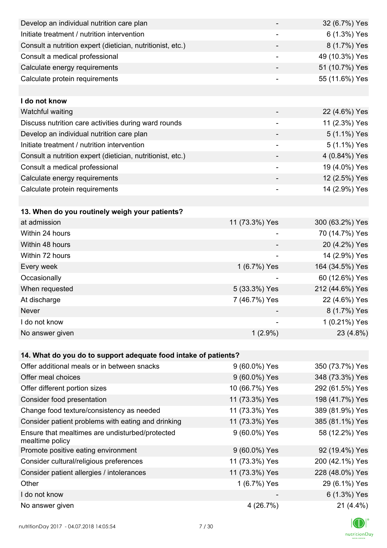| Develop an individual nutrition care plan                          |                          | 32 (6.7%) Yes   |
|--------------------------------------------------------------------|--------------------------|-----------------|
| Initiate treatment / nutrition intervention                        |                          | 6 (1.3%) Yes    |
| Consult a nutrition expert (dietician, nutritionist, etc.)         |                          | 8 (1.7%) Yes    |
| Consult a medical professional                                     | $\overline{\phantom{a}}$ | 49 (10.3%) Yes  |
| Calculate energy requirements                                      | $\overline{\phantom{a}}$ | 51 (10.7%) Yes  |
| Calculate protein requirements                                     |                          | 55 (11.6%) Yes  |
|                                                                    |                          |                 |
| I do not know                                                      |                          |                 |
| Watchful waiting                                                   |                          | 22 (4.6%) Yes   |
| Discuss nutrition care activities during ward rounds               | $\overline{\phantom{a}}$ | 11 (2.3%) Yes   |
| Develop an individual nutrition care plan                          |                          | 5 (1.1%) Yes    |
| Initiate treatment / nutrition intervention                        | $\overline{\phantom{a}}$ | 5 (1.1%) Yes    |
| Consult a nutrition expert (dietician, nutritionist, etc.)         |                          | 4 (0.84%) Yes   |
| Consult a medical professional                                     | -                        | 19 (4.0%) Yes   |
| Calculate energy requirements                                      |                          | 12 (2.5%) Yes   |
| Calculate protein requirements                                     | $\overline{\phantom{a}}$ | 14 (2.9%) Yes   |
|                                                                    |                          |                 |
| 13. When do you routinely weigh your patients?                     |                          |                 |
| at admission                                                       | 11 (73.3%) Yes           | 300 (63.2%) Yes |
| Within 24 hours                                                    |                          | 70 (14.7%) Yes  |
| Within 48 hours                                                    |                          | 20 (4.2%) Yes   |
| Within 72 hours                                                    | $\overline{\phantom{a}}$ | 14 (2.9%) Yes   |
| Every week                                                         | 1 (6.7%) Yes             | 164 (34.5%) Yes |
| Occasionally                                                       |                          | 60 (12.6%) Yes  |
| When requested                                                     | 5 (33.3%) Yes            | 212 (44.6%) Yes |
| At discharge                                                       | 7 (46.7%) Yes            | 22 (4.6%) Yes   |
| Never                                                              |                          | 8 (1.7%) Yes    |
| I do not know                                                      |                          | 1 (0.21%) Yes   |
| No answer given                                                    | $1(2.9\%)$               | 23 (4.8%)       |
|                                                                    |                          |                 |
| 14. What do you do to support adequate food intake of patients?    |                          |                 |
| Offer additional meals or in between snacks                        | 9 (60.0%) Yes            | 350 (73.7%) Yes |
| Offer meal choices                                                 | 9 (60.0%) Yes            | 348 (73.3%) Yes |
| Offer different portion sizes                                      | 10 (66.7%) Yes           | 292 (61.5%) Yes |
| Consider food presentation                                         | 11 (73.3%) Yes           | 198 (41.7%) Yes |
| Change food texture/consistency as needed                          | 11 (73.3%) Yes           | 389 (81.9%) Yes |
| Consider patient problems with eating and drinking                 | 11 (73.3%) Yes           | 385 (81.1%) Yes |
| Ensure that mealtimes are undisturbed/protected<br>mealtime policy | 9 (60.0%) Yes            | 58 (12.2%) Yes  |
| Promote positive eating environment                                | 9 (60.0%) Yes            | 92 (19.4%) Yes  |
| Consider cultural/religious preferences                            | 11 (73.3%) Yes           | 200 (42.1%) Yes |
| Consider patient allergies / intolerances                          | 11 (73.3%) Yes           | 228 (48.0%) Yes |
| Other                                                              | 1 (6.7%) Yes             | 29 (6.1%) Yes   |
| I do not know                                                      |                          | 6 (1.3%) Yes    |
| No answer given                                                    | 4 (26.7%)                | 21 (4.4%)       |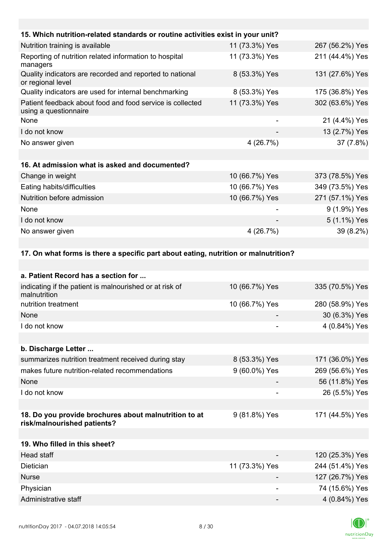| 15. Which nutrition-related standards or routine activities exist in your unit?      |                |                 |
|--------------------------------------------------------------------------------------|----------------|-----------------|
| Nutrition training is available                                                      | 11 (73.3%) Yes | 267 (56.2%) Yes |
| Reporting of nutrition related information to hospital<br>managers                   | 11 (73.3%) Yes | 211 (44.4%) Yes |
| Quality indicators are recorded and reported to national<br>or regional level        | 8 (53.3%) Yes  | 131 (27.6%) Yes |
| Quality indicators are used for internal benchmarking                                | 8 (53.3%) Yes  | 175 (36.8%) Yes |
| Patient feedback about food and food service is collected<br>using a questionnaire   | 11 (73.3%) Yes | 302 (63.6%) Yes |
| None                                                                                 |                | 21 (4.4%) Yes   |
| I do not know                                                                        |                | 13 (2.7%) Yes   |
| No answer given                                                                      | 4 (26.7%)      | 37 (7.8%)       |
|                                                                                      |                |                 |
| 16. At admission what is asked and documented?                                       |                |                 |
| Change in weight                                                                     | 10 (66.7%) Yes | 373 (78.5%) Yes |
| Eating habits/difficulties                                                           | 10 (66.7%) Yes | 349 (73.5%) Yes |
| Nutrition before admission                                                           | 10 (66.7%) Yes | 271 (57.1%) Yes |
| None                                                                                 |                | 9 (1.9%) Yes    |
| I do not know                                                                        |                | 5 (1.1%) Yes    |
| No answer given                                                                      | 4 (26.7%)      | 39 (8.2%)       |
|                                                                                      |                |                 |
| 17. On what forms is there a specific part about eating, nutrition or malnutrition?  |                |                 |
|                                                                                      |                |                 |
| a. Patient Record has a section for                                                  |                |                 |
| indicating if the patient is malnourished or at risk of<br>malnutrition              | 10 (66.7%) Yes | 335 (70.5%) Yes |
| nutrition treatment                                                                  | 10 (66.7%) Yes | 280 (58.9%) Yes |
| None                                                                                 |                | 30 (6.3%) Yes   |
| I do not know                                                                        |                | 4 (0.84%) Yes   |
|                                                                                      |                |                 |
| b. Discharge Letter                                                                  |                |                 |
| summarizes nutrition treatment received during stay                                  | 8 (53.3%) Yes  | 171 (36.0%) Yes |
| makes future nutrition-related recommendations                                       | 9 (60.0%) Yes  | 269 (56.6%) Yes |
| None                                                                                 |                | 56 (11.8%) Yes  |
| I do not know                                                                        |                | 26 (5.5%) Yes   |
|                                                                                      |                |                 |
| 18. Do you provide brochures about malnutrition to at<br>risk/malnourished patients? | 9 (81.8%) Yes  | 171 (44.5%) Yes |



**19. Who filled in this sheet?**

Head staff  $\sim$  120 (25.3%) Yes Dietician 11 (73.3%) Yes 244 (51.4%) Yes Nurse 127 (26.7%) Yes Physician 74 (15.6%) Yes Administrative staff  $\sim$  4 (0.84%) Yes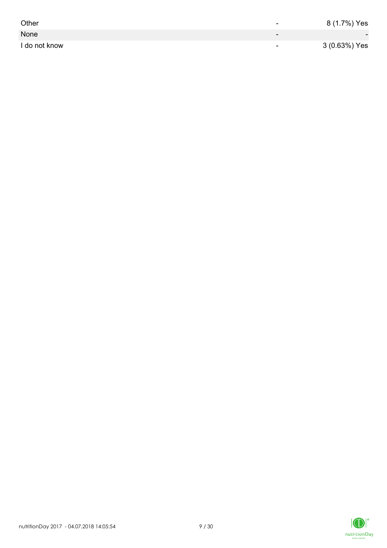| Other         | -                        | 8 (1.7%) Yes             |
|---------------|--------------------------|--------------------------|
| None          | $\overline{\phantom{0}}$ | $\overline{\phantom{0}}$ |
| I do not know | $\overline{\phantom{0}}$ | 3 (0.63%) Yes            |

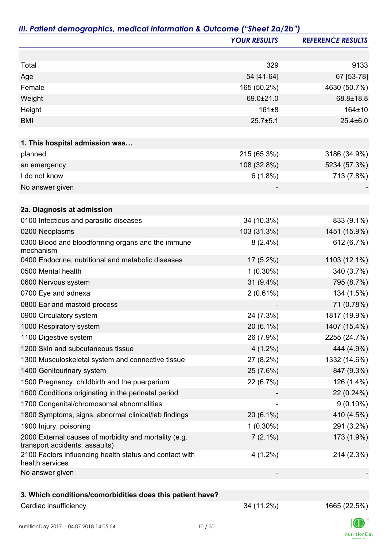|                                                                                         | <b>YOUR RESULTS</b> | <b>REFERENCE RESULTS</b> |
|-----------------------------------------------------------------------------------------|---------------------|--------------------------|
|                                                                                         |                     |                          |
| Total                                                                                   | 329                 | 9133                     |
| Age                                                                                     | 54 [41-64]          | 67 [53-78]               |
| Female                                                                                  | 165 (50.2%)         | 4630 (50.7%)             |
| Weight                                                                                  | 69.0±21.0           | 68.8±18.8                |
| Height                                                                                  | $161 + 8$           | 164±10                   |
| <b>BMI</b>                                                                              | $25.7 + 5.1$        | $25.4 \pm 6.0$           |
|                                                                                         |                     |                          |
| 1. This hospital admission was                                                          |                     |                          |
| planned                                                                                 | 215 (65.3%)         | 3186 (34.9%)             |
| an emergency                                                                            | 108 (32.8%)         | 5234 (57.3%)             |
| I do not know                                                                           | 6(1.8%)             | 713 (7.8%)               |
| No answer given                                                                         |                     |                          |
| 2a. Diagnosis at admission                                                              |                     |                          |
| 0100 Infectious and parasitic diseases                                                  | 34 (10.3%)          | 833 (9.1%)               |
| 0200 Neoplasms                                                                          | 103 (31.3%)         | 1451 (15.9%)             |
| 0300 Blood and bloodforming organs and the immune<br>mechanism                          | $8(2.4\%)$          | 612 (6.7%)               |
| 0400 Endocrine, nutritional and metabolic diseases                                      | 17 (5.2%)           | 1103 (12.1%)             |
| 0500 Mental health                                                                      | $1(0.30\%)$         | 340 (3.7%)               |
| 0600 Nervous system                                                                     | $31(9.4\%)$         | 795 (8.7%)               |
| 0700 Eye and adnexa                                                                     | $2(0.61\%)$         | 134 (1.5%)               |
| 0800 Ear and mastoid process                                                            |                     | 71 (0.78%)               |
| 0900 Circulatory system                                                                 | 24 (7.3%)           | 1817 (19.9%)             |
| 1000 Respiratory system                                                                 | 20 (6.1%)           | 1407 (15.4%)             |
| 1100 Digestive system                                                                   | 26 (7.9%)           | 2255 (24.7%)             |
| 1200 Skin and subcutaneous tissue                                                       | $4(1.2\%)$          | 444 (4.9%)               |
| 1300 Musculoskeletal system and connective tissue                                       | 27 (8.2%)           | 1332 (14.6%)             |
| 1400 Genitourinary system                                                               | 25 (7.6%)           | 847 (9.3%)               |
| 1500 Pregnancy, childbirth and the puerperium                                           | 22 (6.7%)           | 126 (1.4%)               |
| 1600 Conditions originating in the perinatal period                                     |                     | 22 (0.24%)               |
| 1700 Congenital/chromosomal abnormalities                                               |                     | $9(0.10\%)$              |
| 1800 Symptoms, signs, abnormal clinical/lab findings                                    | $20(6.1\%)$         | 410 (4.5%)               |
| 1900 Injury, poisoning                                                                  | $1(0.30\%)$         | 291 (3.2%)               |
| 2000 External causes of morbidity and mortality (e.g.<br>transport accidents, assaults) | $7(2.1\%)$          | 173 (1.9%)               |
| 2100 Factors influencing health status and contact with<br>health services              | $4(1.2\%)$          | 214 (2.3%)               |
| No answer given                                                                         |                     |                          |
|                                                                                         |                     |                          |
| 3. Which conditions/comorbidities does this patient have?                               |                     |                          |
| Cardiac insufficiency                                                                   | 34 (11.2%)          | 1665 (22.5%)             |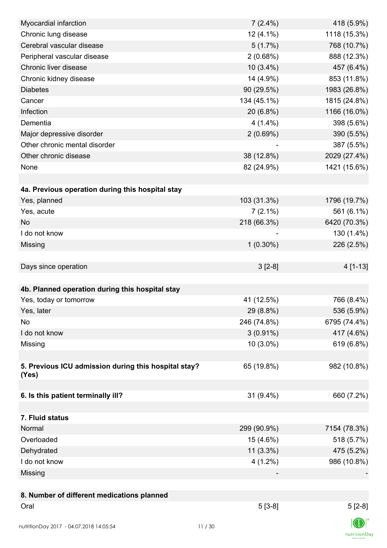| Myocardial infarction                                | $7(2.4\%)$  | 418 (5.9%)   |
|------------------------------------------------------|-------------|--------------|
| Chronic lung disease                                 | $12(4.1\%)$ | 1118 (15.3%) |
| Cerebral vascular disease                            | 5(1.7%)     | 768 (10.7%)  |
| Peripheral vascular disease                          | 2(0.68%)    | 888 (12.3%)  |
| Chronic liver disease                                | $10(3.4\%)$ | 457 (6.4%)   |
| Chronic kidney disease                               | 14 (4.9%)   | 853 (11.8%)  |
| <b>Diabetes</b>                                      | 90 (29.5%)  | 1983 (26.8%) |
| Cancer                                               | 134 (45.1%) | 1815 (24.8%) |
| Infection                                            | 20 (6.8%)   | 1166 (16.0%) |
| Dementia                                             | $4(1.4\%)$  | 398 (5.6%)   |
| Major depressive disorder                            | 2(0.69%)    | 390 (5.5%)   |
| Other chronic mental disorder                        |             | 387 (5.5%)   |
| Other chronic disease                                | 38 (12.8%)  | 2029 (27.4%) |
| None                                                 | 82 (24.9%)  | 1421 (15.6%) |
|                                                      |             |              |
| 4a. Previous operation during this hospital stay     |             |              |
| Yes, planned                                         | 103 (31.3%) | 1796 (19.7%) |
| Yes, acute                                           | $7(2.1\%)$  | 561 (6.1%)   |
| <b>No</b>                                            | 218 (66.3%) | 6420 (70.3%) |
| I do not know                                        |             | 130 (1.4%)   |
| Missing                                              | $1(0.30\%)$ | 226 (2.5%)   |
|                                                      |             |              |
| Days since operation                                 | $3[2-8]$    | 4 [1-13]     |
|                                                      |             |              |
| 4b. Planned operation during this hospital stay      |             |              |
| Yes, today or tomorrow                               | 41 (12.5%)  | 766 (8.4%)   |
| Yes, later                                           | 29 (8.8%)   | 536 (5.9%)   |
| No                                                   | 246 (74.8%) | 6795 (74.4%) |
| I do not know                                        | $3(0.91\%)$ | 417 (4.6%)   |
| Missing                                              | $10(3.0\%)$ | 619 (6.8%)   |
|                                                      |             |              |
| 5. Previous ICU admission during this hospital stay? | 65 (19.8%)  | 982 (10.8%)  |
| (Yes)                                                |             |              |
|                                                      |             |              |
| 6. Is this patient terminally ill?                   | 31 (9.4%)   | 660 (7.2%)   |
|                                                      |             |              |
| 7. Fluid status                                      |             |              |
| Normal                                               | 299 (90.9%) | 7154 (78.3%) |
| Overloaded                                           | 15 (4.6%)   | 518 (5.7%)   |
| Dehydrated                                           | $11(3.3\%)$ | 475 (5.2%)   |
| I do not know                                        | $4(1.2\%)$  | 986 (10.8%)  |
| Missing                                              |             |              |
|                                                      |             |              |
| 8. Number of different medications planned           |             |              |
| Oral                                                 | $5[3-8]$    | $5[2-8]$     |
|                                                      |             |              |
| nutritionDay 2017 - 04.07.2018 14:05:54              | 11/30       |              |

 $\textsf{nutritionDay}$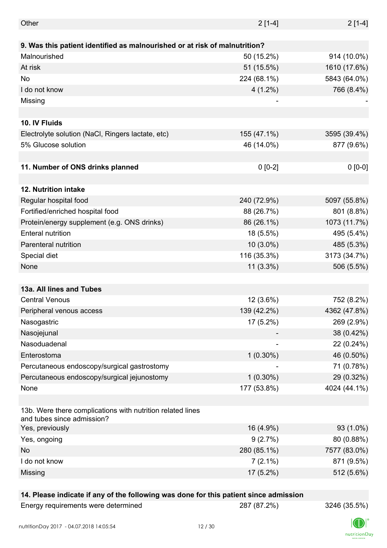| Other                                                                                    | $2[1-4]$    | $2[1-4]$     |
|------------------------------------------------------------------------------------------|-------------|--------------|
|                                                                                          |             |              |
| 9. Was this patient identified as malnourished or at risk of malnutrition?               |             |              |
| Malnourished                                                                             | 50 (15.2%)  | 914 (10.0%)  |
| At risk                                                                                  | 51 (15.5%)  | 1610 (17.6%) |
| No                                                                                       | 224 (68.1%) | 5843 (64.0%) |
| I do not know                                                                            | $4(1.2\%)$  | 766 (8.4%)   |
| Missing                                                                                  |             |              |
|                                                                                          |             |              |
| 10. IV Fluids                                                                            |             |              |
| Electrolyte solution (NaCl, Ringers lactate, etc)                                        | 155 (47.1%) | 3595 (39.4%) |
| 5% Glucose solution                                                                      | 46 (14.0%)  | 877 (9.6%)   |
|                                                                                          |             |              |
| 11. Number of ONS drinks planned                                                         | $0 [0-2]$   | $0 [0-0]$    |
|                                                                                          |             |              |
| 12. Nutrition intake                                                                     |             |              |
| Regular hospital food                                                                    | 240 (72.9%) | 5097 (55.8%) |
| Fortified/enriched hospital food                                                         | 88 (26.7%)  | 801 (8.8%)   |
| Protein/energy supplement (e.g. ONS drinks)                                              | 86 (26.1%)  | 1073 (11.7%) |
| <b>Enteral nutrition</b>                                                                 | 18 (5.5%)   | 495 (5.4%)   |
| Parenteral nutrition                                                                     | $10(3.0\%)$ | 485 (5.3%)   |
| Special diet                                                                             | 116 (35.3%) | 3173 (34.7%) |
| None                                                                                     | $11(3.3\%)$ | 506 (5.5%)   |
|                                                                                          |             |              |
| 13a. All lines and Tubes                                                                 |             |              |
| <b>Central Venous</b>                                                                    | 12 (3.6%)   | 752 (8.2%)   |
| Peripheral venous access                                                                 | 139 (42.2%) | 4362 (47.8%) |
| Nasogastric                                                                              | 17 (5.2%)   | 269 (2.9%)   |
| Nasojejunal                                                                              |             | 38 (0.42%)   |
| Nasoduadenal                                                                             |             | 22 (0.24%)   |
| Enterostoma                                                                              |             |              |
|                                                                                          | $1(0.30\%)$ | 46 (0.50%)   |
| Percutaneous endoscopy/surgical gastrostomy                                              |             | 71 (0.78%)   |
| Percutaneous endoscopy/surgical jejunostomy                                              | $1(0.30\%)$ | 29 (0.32%)   |
| None                                                                                     | 177 (53.8%) | 4024 (44.1%) |
|                                                                                          |             |              |
| 13b. Were there complications with nutrition related lines<br>and tubes since admission? |             |              |
| Yes, previously                                                                          | 16 (4.9%)   | 93 (1.0%)    |
| Yes, ongoing                                                                             | 9(2.7%)     | 80 (0.88%)   |
| No                                                                                       | 280 (85.1%) | 7577 (83.0%) |
| I do not know                                                                            | $7(2.1\%)$  | 871 (9.5%)   |
| Missing                                                                                  | 17 (5.2%)   | 512 (5.6%)   |
|                                                                                          |             |              |

### **14. Please indicate if any of the following was done for this patient since admission**

| Energy requirements were determined |
|-------------------------------------|
|-------------------------------------|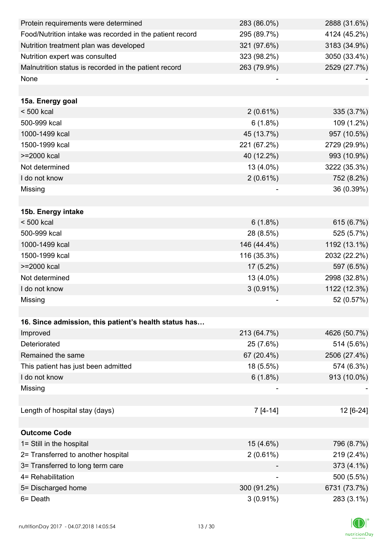| Protein requirements were determined                     | 283 (86.0%)              | 2888 (31.6%) |
|----------------------------------------------------------|--------------------------|--------------|
| Food/Nutrition intake was recorded in the patient record | 295 (89.7%)              | 4124 (45.2%) |
| Nutrition treatment plan was developed                   | 321 (97.6%)              | 3183 (34.9%) |
| Nutrition expert was consulted                           | 323 (98.2%)              | 3050 (33.4%) |
| Malnutrition status is recorded in the patient record    | 263 (79.9%)              | 2529 (27.7%) |
| None                                                     |                          |              |
|                                                          |                          |              |
| 15a. Energy goal                                         |                          |              |
| $< 500$ kcal                                             | $2(0.61\%)$              | 335 (3.7%)   |
| 500-999 kcal                                             | $6(1.8\%)$               | 109 (1.2%)   |
| 1000-1499 kcal                                           | 45 (13.7%)               | 957 (10.5%)  |
| 1500-1999 kcal                                           | 221 (67.2%)              | 2729 (29.9%) |
| >=2000 kcal                                              | 40 (12.2%)               | 993 (10.9%)  |
| Not determined                                           | 13 (4.0%)                | 3222 (35.3%) |
| I do not know                                            | 2(0.61%)                 | 752 (8.2%)   |
| Missing                                                  |                          | 36 (0.39%)   |
|                                                          |                          |              |
| 15b. Energy intake                                       |                          |              |
| $< 500$ kcal                                             | $6(1.8\%)$               | 615 (6.7%)   |
| 500-999 kcal                                             | 28 (8.5%)                | 525 (5.7%)   |
| 1000-1499 kcal                                           | 146 (44.4%)              | 1192 (13.1%) |
| 1500-1999 kcal                                           | 116 (35.3%)              | 2032 (22.2%) |
| >=2000 kcal                                              | $17(5.2\%)$              | 597 (6.5%)   |
| Not determined                                           | 13 (4.0%)                | 2998 (32.8%) |
| I do not know                                            | $3(0.91\%)$              | 1122 (12.3%) |
| Missing                                                  |                          | 52 (0.57%)   |
|                                                          |                          |              |
| 16. Since admission, this patient's health status has    |                          |              |
| Improved                                                 | 213 (64.7%)              | 4626 (50.7%) |
| Deteriorated                                             | 25 (7.6%)                | 514 (5.6%)   |
| Remained the same                                        | 67 (20.4%)               | 2506 (27.4%) |
| This patient has just been admitted                      | 18 (5.5%)                | 574 (6.3%)   |
| I do not know                                            | $6(1.8\%)$               | 913 (10.0%)  |
| Missing                                                  |                          |              |
|                                                          |                          |              |
| Length of hospital stay (days)                           | $7[4-14]$                | 12 [6-24]    |
|                                                          |                          |              |
| <b>Outcome Code</b>                                      |                          |              |
| 1= Still in the hospital                                 | 15 (4.6%)                | 796 (8.7%)   |
| 2= Transferred to another hospital                       | 2(0.61%)                 | 219 (2.4%)   |
| 3= Transferred to long term care                         |                          | 373 (4.1%)   |
| 4= Rehabilitation                                        | $\overline{\phantom{a}}$ | 500 (5.5%)   |
| 5= Discharged home                                       | 300 (91.2%)              | 6731 (73.7%) |
| 6= Death                                                 | $3(0.91\%)$              | 283 (3.1%)   |

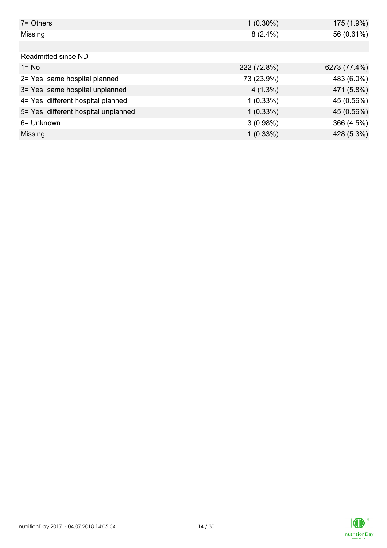| 7= Others                            | $1(0.30\%)$ | 175 (1.9%)   |
|--------------------------------------|-------------|--------------|
| Missing                              | $8(2.4\%)$  | 56 (0.61%)   |
|                                      |             |              |
| Readmitted since ND                  |             |              |
| $1 = No$                             | 222 (72.8%) | 6273 (77.4%) |
| 2= Yes, same hospital planned        | 73 (23.9%)  | 483 (6.0%)   |
| 3= Yes, same hospital unplanned      | $4(1.3\%)$  | 471 (5.8%)   |
| 4= Yes, different hospital planned   | $1(0.33\%)$ | 45 (0.56%)   |
| 5= Yes, different hospital unplanned | 1(0.33%)    | 45 (0.56%)   |
| 6= Unknown                           | 3(0.98%)    | 366 (4.5%)   |
| Missing                              | $1(0.33\%)$ | 428 (5.3%)   |

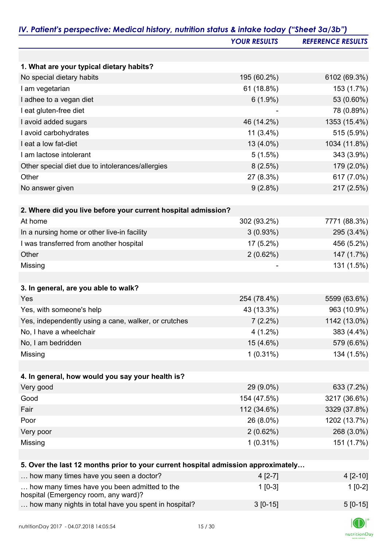|                                                                                      | <b>YOUR RESULTS</b> | <b>REFERENCE RESULTS</b> |
|--------------------------------------------------------------------------------------|---------------------|--------------------------|
|                                                                                      |                     |                          |
| 1. What are your typical dietary habits?                                             |                     |                          |
| No special dietary habits                                                            | 195 (60.2%)         | 6102 (69.3%)             |
| I am vegetarian                                                                      | 61 (18.8%)          | 153 (1.7%)               |
| I adhee to a vegan diet                                                              | $6(1.9\%)$          | 53 (0.60%)               |
| I eat gluten-free diet                                                               |                     | 78 (0.89%)               |
| I avoid added sugars                                                                 | 46 (14.2%)          | 1353 (15.4%)             |
| I avoid carbohydrates                                                                | $11(3.4\%)$         | 515 (5.9%)               |
| I eat a low fat-diet                                                                 | 13 (4.0%)           | 1034 (11.8%)             |
| I am lactose intolerant                                                              | 5(1.5%)             | 343 (3.9%)               |
| Other special diet due to intolerances/allergies                                     | 8(2.5%)             | 179 (2.0%)               |
| Other                                                                                | 27 (8.3%)           | 617 (7.0%)               |
| No answer given                                                                      | $9(2.8\%)$          | 217 (2.5%)               |
|                                                                                      |                     |                          |
| 2. Where did you live before your current hospital admission?                        |                     |                          |
| At home                                                                              | 302 (93.2%)         | 7771 (88.3%)             |
| In a nursing home or other live-in facility                                          | 3(0.93%)            | 295 (3.4%)               |
| I was transferred from another hospital                                              | 17 (5.2%)           | 456 (5.2%)               |
| Other                                                                                | 2(0.62%)            | 147 (1.7%)               |
| Missing                                                                              |                     | 131 (1.5%)               |
|                                                                                      |                     |                          |
| 3. In general, are you able to walk?                                                 |                     |                          |
| Yes                                                                                  | 254 (78.4%)         | 5599 (63.6%)             |
| Yes, with someone's help                                                             | 43 (13.3%)          | 963 (10.9%)              |
| Yes, independently using a cane, walker, or crutches                                 | $7(2.2\%)$          | 1142 (13.0%)             |
| No, I have a wheelchair                                                              | $4(1.2\%)$          | 383 (4.4%)               |
| No, I am bedridden                                                                   | 15 (4.6%)           | 579 (6.6%)               |
| Missing                                                                              | $1(0.31\%)$         | 134 (1.5%)               |
|                                                                                      |                     |                          |
| 4. In general, how would you say your health is?                                     |                     |                          |
| Very good                                                                            | 29 (9.0%)           | 633 (7.2%)               |
| Good                                                                                 | 154 (47.5%)         | 3217 (36.6%)             |
| Fair                                                                                 | 112 (34.6%)         | 3329 (37.8%)             |
| Poor                                                                                 | 26 (8.0%)           | 1202 (13.7%)             |
| Very poor                                                                            | 2(0.62%)            | 268 (3.0%)               |
| Missing                                                                              | $1(0.31\%)$         | 151 (1.7%)               |
|                                                                                      |                     |                          |
| 5. Over the last 12 months prior to your current hospital admission approximately    |                     |                          |
| how many times have you seen a doctor?                                               | $4[2-7]$            | $4[2-10]$                |
| how many times have you been admitted to the<br>hospital (Emergency room, any ward)? | $1$ [0-3]           | $1[0-2]$                 |
| how many nights in total have you spent in hospital?                                 | $3[0-15]$           | $5[0-15]$                |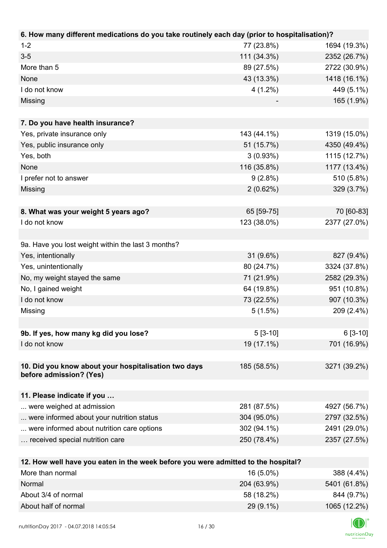| 6. How many different medications do you take routinely each day (prior to hospitalisation)? |             |              |
|----------------------------------------------------------------------------------------------|-------------|--------------|
| $1 - 2$                                                                                      | 77 (23.8%)  | 1694 (19.3%) |
| $3-5$                                                                                        | 111 (34.3%) | 2352 (26.7%) |
| More than 5                                                                                  | 89 (27.5%)  | 2722 (30.9%) |
| None                                                                                         | 43 (13.3%)  | 1418 (16.1%) |
| I do not know                                                                                | $4(1.2\%)$  | 449 (5.1%)   |
| Missing                                                                                      |             | 165 (1.9%)   |
|                                                                                              |             |              |
| 7. Do you have health insurance?                                                             |             |              |
| Yes, private insurance only                                                                  | 143 (44.1%) | 1319 (15.0%) |
| Yes, public insurance only                                                                   | 51 (15.7%)  | 4350 (49.4%) |
| Yes, both                                                                                    | 3(0.93%)    | 1115 (12.7%) |
| None                                                                                         | 116 (35.8%) | 1177 (13.4%) |
| I prefer not to answer                                                                       | $9(2.8\%)$  | 510 (5.8%)   |
| Missing                                                                                      | 2(0.62%)    | 329 (3.7%)   |
|                                                                                              |             |              |
| 8. What was your weight 5 years ago?                                                         | 65 [59-75]  | 70 [60-83]   |
| I do not know                                                                                | 123 (38.0%) | 2377 (27.0%) |
|                                                                                              |             |              |
| 9a. Have you lost weight within the last 3 months?                                           |             |              |
| Yes, intentionally                                                                           | $31(9.6\%)$ | 827 (9.4%)   |
| Yes, unintentionally                                                                         | 80 (24.7%)  | 3324 (37.8%) |
| No, my weight stayed the same                                                                | 71 (21.9%)  | 2582 (29.3%) |
| No, I gained weight                                                                          | 64 (19.8%)  | 951 (10.8%)  |
| I do not know                                                                                | 73 (22.5%)  | 907 (10.3%)  |
| Missing                                                                                      | $5(1.5\%)$  | 209 (2.4%)   |
|                                                                                              |             |              |
| 9b. If yes, how many kg did you lose?                                                        | $5[3-10]$   | $6[3-10]$    |
| I do not know                                                                                | 19 (17.1%)  | 701 (16.9%)  |
|                                                                                              |             |              |
| 10. Did you know about your hospitalisation two days                                         | 185 (58.5%) | 3271 (39.2%) |
| before admission? (Yes)                                                                      |             |              |
|                                                                                              |             |              |
| 11. Please indicate if you                                                                   |             |              |
| were weighed at admission                                                                    | 281 (87.5%) | 4927 (56.7%) |
| were informed about your nutrition status                                                    | 304 (95.0%) | 2797 (32.5%) |
| were informed about nutrition care options                                                   | 302 (94.1%) | 2491 (29.0%) |
| received special nutrition care                                                              | 250 (78.4%) | 2357 (27.5%) |
|                                                                                              |             |              |
| 12. How well have you eaten in the week before you were admitted to the hospital?            |             |              |
| More than normal                                                                             | 16 (5.0%)   | 388 (4.4%)   |
| Normal                                                                                       | 204 (63.9%) | 5401 (61.8%) |
| About 3/4 of normal                                                                          | 58 (18.2%)  | 844 (9.7%)   |

About half of normal 29 (9.1%) 1065 (12.2%)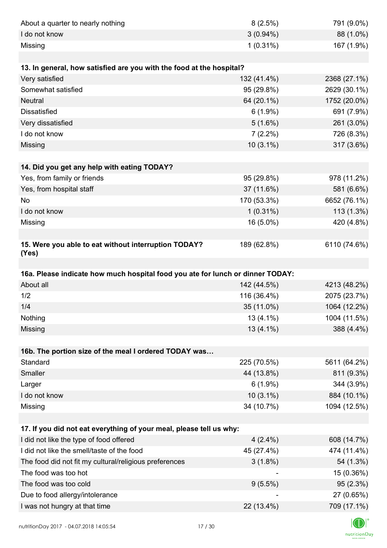| 791 (9.0%)<br>8(2.5%)                                                          |
|--------------------------------------------------------------------------------|
| $3(0.94\%)$<br>88 (1.0%)                                                       |
| $1(0.31\%)$<br>167 (1.9%)                                                      |
|                                                                                |
|                                                                                |
| 132 (41.4%)<br>2368 (27.1%)                                                    |
| 2629 (30.1%)<br>95 (29.8%)                                                     |
| 64 (20.1%)<br>1752 (20.0%)                                                     |
| $6(1.9\%)$<br>691 (7.9%)                                                       |
| 261 (3.0%)<br>5(1.6%)                                                          |
| 726 (8.3%)<br>$7(2.2\%)$                                                       |
| 317 (3.6%)<br>$10(3.1\%)$                                                      |
|                                                                                |
|                                                                                |
| 95 (29.8%)<br>978 (11.2%)                                                      |
| 37 (11.6%)<br>581 (6.6%)                                                       |
| 170 (53.3%)<br>6652 (76.1%)                                                    |
| $1(0.31\%)$<br>$113(1.3\%)$                                                    |
| 420 (4.8%)<br>16 (5.0%)                                                        |
|                                                                                |
| 6110 (74.6%)<br>189 (62.8%)                                                    |
|                                                                                |
| 16a. Please indicate how much hospital food you ate for lunch or dinner TODAY: |
|                                                                                |
| 142 (44.5%)<br>4213 (48.2%)                                                    |
| 116 (36.4%)<br>2075 (23.7%)                                                    |
| 1064 (12.2%)<br>35 (11.0%)                                                     |
| $13(4.1\%)$<br>1004 (11.5%)                                                    |
| 13 (4.1%)<br>388 (4.4%)                                                        |
|                                                                                |
|                                                                                |
| 225 (70.5%)<br>5611 (64.2%)                                                    |
| 811 (9.3%)<br>44 (13.8%)                                                       |
| $6(1.9\%)$<br>344 (3.9%)                                                       |
| $10(3.1\%)$<br>884 (10.1%)                                                     |
| 34 (10.7%)<br>1094 (12.5%)                                                     |
|                                                                                |
|                                                                                |
| 608 (14.7%)<br>$4(2.4\%)$                                                      |
| 474 (11.4%)<br>45 (27.4%)                                                      |
| 54 (1.3%)<br>$3(1.8\%)$                                                        |
| 15 (0.36%)                                                                     |
| 95(2.3%)<br>$9(5.5\%)$                                                         |
| 27 (0.65%)<br>709 (17.1%)<br>22 (13.4%)                                        |
|                                                                                |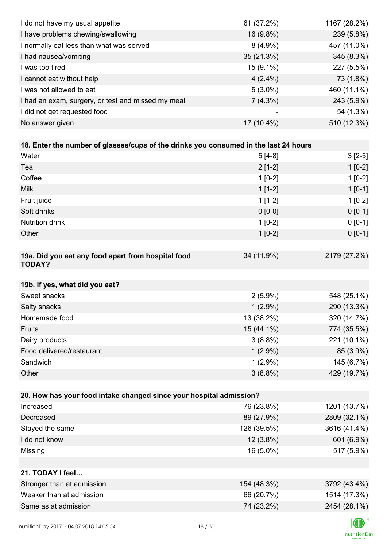| I do not have my usual appetite                                                      | 61 (37.2%)  | 1167 (28.2%) |
|--------------------------------------------------------------------------------------|-------------|--------------|
| I have problems chewing/swallowing                                                   | 16 (9.8%)   | 239 (5.8%)   |
| I normally eat less than what was served                                             | $8(4.9\%)$  | 457 (11.0%)  |
| I had nausea/vomiting                                                                | 35 (21.3%)  | 345 (8.3%)   |
| I was too tired                                                                      | $15(9.1\%)$ | 227 (5.5%)   |
| I cannot eat without help                                                            | $4(2.4\%)$  | 73 (1.8%)    |
| I was not allowed to eat                                                             | $5(3.0\%)$  | 460 (11.1%)  |
| I had an exam, surgery, or test and missed my meal                                   | $7(4.3\%)$  | 243 (5.9%)   |
| I did not get requested food                                                         |             | 54 (1.3%)    |
| No answer given                                                                      | 17 (10.4%)  | 510 (12.3%)  |
|                                                                                      |             |              |
| 18. Enter the number of glasses/cups of the drinks you consumed in the last 24 hours |             |              |
| Water                                                                                | $5[4-8]$    | $3[2-5]$     |
| Tea                                                                                  | $2[1-2]$    | $1[0-2]$     |
| Coffee                                                                               | $1[0-2]$    | $1[0-2]$     |
| <b>Milk</b>                                                                          | $1[1-2]$    | $1[0-1]$     |
| Fruit juice                                                                          | $1[1-2]$    | $1[0-2]$     |
| Soft drinks                                                                          | $0 [0-0]$   | $0 [0-1]$    |
| Nutrition drink                                                                      | $1[0-2]$    | $0 [0-1]$    |
| Other                                                                                | $1[0-2]$    | $0 [0-1]$    |
|                                                                                      |             |              |
| 19a. Did you eat any food apart from hospital food<br><b>TODAY?</b>                  | 34 (11.9%)  | 2179 (27.2%) |
| 19b. If yes, what did you eat?                                                       |             |              |
| Sweet snacks                                                                         | $2(5.9\%)$  | 548 (25.1%)  |
| Salty snacks                                                                         | $1(2.9\%)$  | 290 (13.3%)  |
| Homemade food                                                                        | 13 (38.2%)  | 320 (14.7%)  |
| Fruits                                                                               | 15 (44.1%)  | 774 (35.5%)  |
| Dairy products                                                                       | $3(8.8\%)$  | 221 (10.1%)  |
| Food delivered/restaurant                                                            | $1(2.9\%)$  | 85 (3.9%)    |
| Sandwich                                                                             | $1(2.9\%)$  | 145 (6.7%)   |
| Other                                                                                | $3(8.8\%)$  | 429 (19.7%)  |
|                                                                                      |             |              |
| 20. How has your food intake changed since your hospital admission?                  |             |              |
| Increased                                                                            | 76 (23.8%)  | 1201 (13.7%) |
| Decreased                                                                            | 89 (27.9%)  | 2809 (32.1%) |
| Stayed the same                                                                      | 126 (39.5%) | 3616 (41.4%) |
| I do not know                                                                        | $12(3.8\%)$ | 601 (6.9%)   |
| Missing                                                                              | 16 (5.0%)   | 517 (5.9%)   |
|                                                                                      |             |              |
| 21. TODAY I feel                                                                     |             |              |
| Stronger than at admission                                                           | 154 (48.3%) | 3792 (43.4%) |
| Weaker than at admission                                                             | 66 (20.7%)  | 1514 (17.3%) |
| Same as at admission                                                                 | 74 (23.2%)  | 2454 (28.1%) |
|                                                                                      |             |              |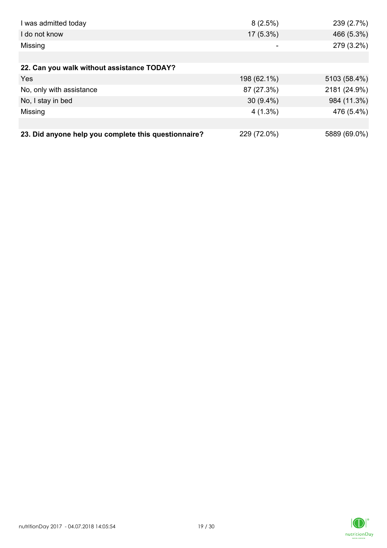| I was admitted today                                 | 8(2.5%)     | 239(2.7%)    |
|------------------------------------------------------|-------------|--------------|
| I do not know                                        | $17(5.3\%)$ | 466 (5.3%)   |
| Missing                                              | -           | 279 (3.2%)   |
|                                                      |             |              |
| 22. Can you walk without assistance TODAY?           |             |              |
| Yes                                                  | 198 (62.1%) | 5103 (58.4%) |
| No, only with assistance                             | 87 (27.3%)  | 2181 (24.9%) |
| No, I stay in bed                                    | $30(9.4\%)$ | 984 (11.3%)  |
| Missing                                              | $4(1.3\%)$  | 476 (5.4%)   |
|                                                      |             |              |
| 23. Did anyone help you complete this questionnaire? | 229 (72.0%) | 5889 (69.0%) |

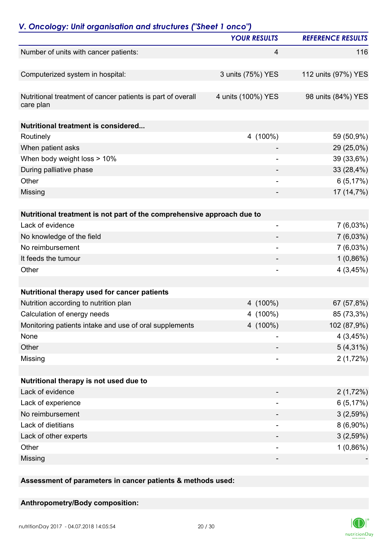| V. Oncology: Unit organisation and structures ("Sheet 1 onco")           | <b>YOUR RESULTS</b>          | <b>REFERENCE RESULTS</b> |
|--------------------------------------------------------------------------|------------------------------|--------------------------|
|                                                                          |                              | 116                      |
| Number of units with cancer patients:                                    | 4                            |                          |
| Computerized system in hospital:                                         | 3 units (75%) YES            | 112 units (97%) YES      |
| Nutritional treatment of cancer patients is part of overall<br>care plan | 4 units (100%) YES           | 98 units (84%) YES       |
| Nutritional treatment is considered                                      |                              |                          |
| Routinely                                                                | 4 (100%)                     | 59 (50,9%)               |
| When patient asks                                                        |                              | 29 (25,0%)               |
| When body weight loss > 10%                                              |                              | 39 (33,6%)               |
| During palliative phase                                                  |                              | 33 (28,4%)               |
| Other                                                                    | ٠                            | 6(5,17%)                 |
| Missing                                                                  |                              | 17 (14,7%)               |
| Nutritional treatment is not part of the comprehensive approach due to   |                              |                          |
| Lack of evidence                                                         | $\overline{\phantom{0}}$     | $7(6,03\%)$              |
| No knowledge of the field                                                |                              | $7(6,03\%)$              |
| No reimbursement                                                         | $\qquad \qquad \blacksquare$ | $7(6,03\%)$              |
| It feeds the tumour                                                      |                              | $1(0,86\%)$              |
| Other                                                                    |                              | 4(3,45%)                 |
|                                                                          |                              |                          |
| Nutritional therapy used for cancer patients                             |                              |                          |
| Nutrition according to nutrition plan                                    | 4 (100%)                     | 67 (57,8%)               |
| Calculation of energy needs                                              | 4 (100%)                     | 85 (73,3%)               |
| Monitoring patients intake and use of oral supplements                   | 4 (100%)                     | 102 (87,9%)              |
| None                                                                     |                              | 4(3,45%)                 |
| Other                                                                    |                              | $5(4,31\%)$              |
| Missing                                                                  |                              | 2(1,72%)                 |
| Nutritional therapy is not used due to                                   |                              |                          |
| Lack of evidence                                                         |                              | 2(1,72%)                 |
| Lack of experience                                                       |                              | 6(5,17%)                 |
| No reimbursement                                                         |                              | 3(2,59%)                 |
| Lack of dietitians                                                       |                              | $8(6,90\%)$              |
| Lack of other experts                                                    |                              | 3(2,59%)                 |
| Other                                                                    | -                            | $1(0,86\%)$              |
| Missing                                                                  | -                            |                          |
|                                                                          |                              |                          |

**Assessment of parameters in cancer patients & methods used:**

### **Anthropometry/Body composition:**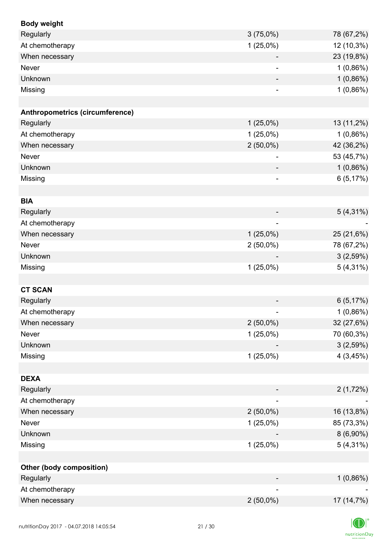| <b>Body weight</b>                     |                              |             |
|----------------------------------------|------------------------------|-------------|
| Regularly                              | $3(75,0\%)$                  | 78 (67,2%)  |
| At chemotherapy                        | $1(25,0\%)$                  | 12 (10,3%)  |
| When necessary                         |                              | 23 (19,8%)  |
| Never                                  |                              | 1(0,86%)    |
| Unknown                                |                              | 1(0,86%)    |
| Missing                                | $\overline{\phantom{0}}$     | 1(0,86%)    |
|                                        |                              |             |
| <b>Anthropometrics (circumference)</b> |                              |             |
| Regularly                              | $1(25,0\%)$                  | 13 (11,2%)  |
| At chemotherapy                        | $1(25,0\%)$                  | $1(0,86\%)$ |
| When necessary                         | $2(50,0\%)$                  | 42 (36,2%)  |
| <b>Never</b>                           |                              | 53 (45,7%)  |
| Unknown                                |                              | 1(0,86%)    |
| Missing                                | $\qquad \qquad \blacksquare$ | 6(5,17%)    |
|                                        |                              |             |
| <b>BIA</b>                             |                              |             |
| Regularly                              |                              | $5(4,31\%)$ |
| At chemotherapy                        |                              |             |
| When necessary                         | $1(25,0\%)$                  | 25 (21,6%)  |
| Never                                  | $2(50,0\%)$                  | 78 (67,2%)  |
| Unknown                                |                              | 3(2,59%)    |
| Missing                                | $1(25,0\%)$                  | $5(4,31\%)$ |
|                                        |                              |             |
| <b>CT SCAN</b>                         |                              |             |
| Regularly                              |                              | 6(5,17%)    |
| At chemotherapy                        |                              | $1(0,86\%)$ |
| When necessary                         | $2(50,0\%)$                  | 32 (27,6%)  |
| Never                                  | $1(25,0\%)$                  | 70 (60,3%)  |
| Unknown                                |                              | 3(2,59%)    |
| Missing                                | $1(25,0\%)$                  | 4(3,45%)    |
|                                        |                              |             |
| <b>DEXA</b>                            |                              |             |
| Regularly                              |                              | 2(1,72%)    |
| At chemotherapy                        |                              |             |
| When necessary                         | $2(50,0\%)$                  | 16 (13,8%)  |
| Never                                  | $1(25,0\%)$                  | 85 (73,3%)  |
| Unknown                                |                              | $8(6,90\%)$ |
| Missing                                | $1(25,0\%)$                  | $5(4,31\%)$ |
|                                        |                              |             |
| <b>Other (body composition)</b>        |                              |             |
| Regularly                              |                              | $1(0,86\%)$ |
| At chemotherapy                        |                              |             |
| When necessary                         | $2(50,0\%)$                  | 17 (14,7%)  |
|                                        |                              |             |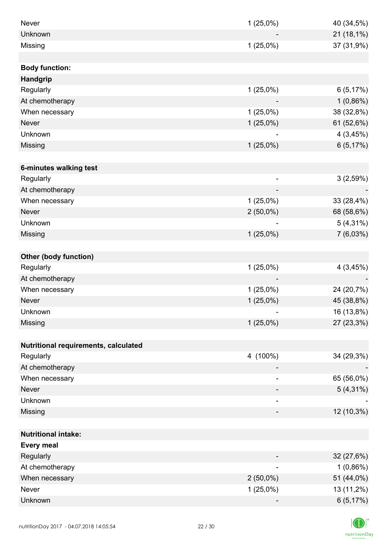| Never                                | $1(25,0\%)$              | 40 (34,5%)             |
|--------------------------------------|--------------------------|------------------------|
| Unknown                              |                          | 21 (18,1%)             |
| Missing                              | $1(25,0\%)$              | 37 (31,9%)             |
|                                      |                          |                        |
| <b>Body function:</b>                |                          |                        |
| <b>Handgrip</b>                      |                          |                        |
| Regularly                            | $1(25,0\%)$              | 6(5,17%)               |
| At chemotherapy                      |                          | $1(0,86\%)$            |
| When necessary                       | $1(25,0\%)$              | 38 (32,8%)             |
| <b>Never</b>                         | $1(25,0\%)$              | 61 (52,6%)             |
| Unknown                              |                          | 4(3,45%)               |
| Missing                              | $1(25,0\%)$              | 6(5,17%)               |
|                                      |                          |                        |
| 6-minutes walking test               |                          |                        |
| Regularly                            | $\overline{\phantom{0}}$ | 3(2,59%)               |
| At chemotherapy                      |                          |                        |
| When necessary                       | $1(25,0\%)$              | 33 (28,4%)             |
| <b>Never</b>                         | $2(50,0\%)$              | 68 (58,6%)             |
| Unknown                              |                          | $5(4,31\%)$            |
| Missing                              | $1(25,0\%)$              | 7(6,03%)               |
|                                      |                          |                        |
| <b>Other (body function)</b>         |                          |                        |
| Regularly                            | $1(25,0\%)$              | 4(3,45%)               |
| At chemotherapy                      |                          |                        |
| When necessary                       | $1(25,0\%)$              | 24 (20,7%)             |
| <b>Never</b>                         | $1(25,0\%)$              | 45 (38,8%)             |
| Unknown                              |                          | 16 (13,8%)             |
| Missing                              | $1(25,0\%)$              | 27 (23,3%)             |
|                                      |                          |                        |
| Nutritional requirements, calculated |                          |                        |
| Regularly                            | 4 (100%)                 | 34 (29,3%)             |
| At chemotherapy                      |                          |                        |
| When necessary                       |                          | 65 (56,0%)             |
| <b>Never</b>                         |                          | $5(4,31\%)$            |
| Unknown                              | -                        |                        |
| Missing                              |                          | 12 (10,3%)             |
|                                      |                          |                        |
| <b>Nutritional intake:</b>           |                          |                        |
| <b>Every meal</b>                    |                          |                        |
| Regularly                            |                          | 32 (27,6%)             |
| At chemotherapy                      | $\overline{\phantom{0}}$ | $1(0,86\%)$            |
| When necessary                       | $2(50,0\%)$              | 51 (44,0%)             |
| Never                                | $1(25,0\%)$              |                        |
| Unknown                              |                          | 13 (11,2%)<br>6(5,17%) |
|                                      |                          |                        |

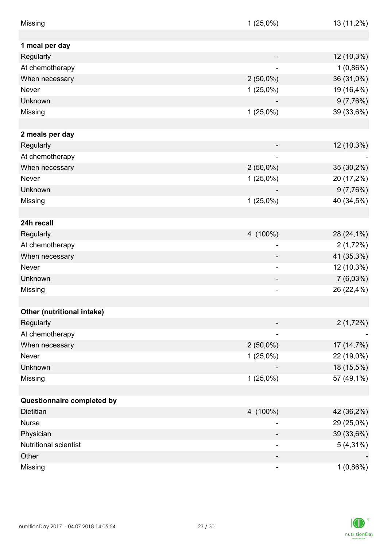| Missing                      | $1(25,0\%)$              | 13 (11,2%)  |
|------------------------------|--------------------------|-------------|
|                              |                          |             |
| 1 meal per day               |                          |             |
| Regularly                    |                          | 12 (10,3%)  |
| At chemotherapy              |                          | $1(0,86\%)$ |
| When necessary               | $2(50,0\%)$              | 36 (31,0%)  |
| Never                        | $1(25,0\%)$              | 19 (16,4%)  |
| Unknown                      |                          | 9(7,76%)    |
| Missing                      | $1(25,0\%)$              | 39 (33,6%)  |
|                              |                          |             |
| 2 meals per day              |                          |             |
| Regularly                    |                          | 12 (10,3%)  |
| At chemotherapy              |                          |             |
| When necessary               | $2(50,0\%)$              | 35 (30,2%)  |
| Never                        | $1(25,0\%)$              | 20 (17,2%)  |
| Unknown                      |                          | 9(7,76%)    |
| Missing                      | $1(25,0\%)$              | 40 (34,5%)  |
|                              |                          |             |
| 24h recall                   |                          |             |
| Regularly                    | 4 (100%)                 | 28 (24,1%)  |
| At chemotherapy              | $\overline{\phantom{a}}$ | 2(1,72%)    |
| When necessary               |                          | 41 (35,3%)  |
| Never                        |                          | 12 (10,3%)  |
| Unknown                      |                          | $7(6,03\%)$ |
| Missing                      |                          | 26 (22,4%)  |
|                              |                          |             |
| Other (nutritional intake)   |                          |             |
| Regularly                    |                          | 2(1,72%)    |
| At chemotherapy              |                          |             |
|                              | $2(50,0\%)$              | 17 (14,7%)  |
| When necessary<br>Never      |                          |             |
| Unknown                      | $1(25,0\%)$              | 22 (19,0%)  |
|                              |                          | 18 (15,5%)  |
| Missing                      | $1(25,0\%)$              | 57 (49,1%)  |
|                              |                          |             |
| Questionnaire completed by   |                          |             |
| <b>Dietitian</b>             | 4 (100%)                 | 42 (36,2%)  |
| <b>Nurse</b>                 |                          | 29 (25,0%)  |
| Physician                    |                          | 39 (33,6%)  |
| <b>Nutritional scientist</b> |                          | $5(4,31\%)$ |
| Other                        |                          |             |
| Missing                      | -                        | $1(0,86\%)$ |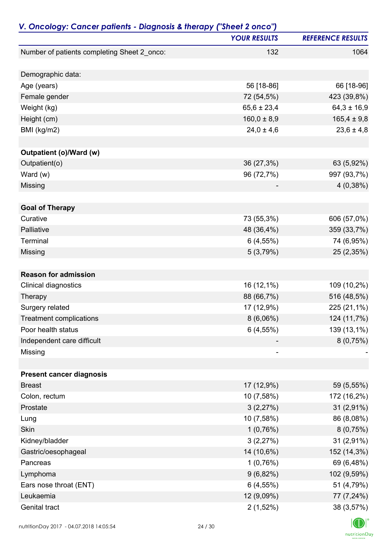| <b>YOUR RESULTS</b><br>Number of patients completing Sheet 2_onco:<br>132 | <b>REFERENCE RESULTS</b><br>1064 |
|---------------------------------------------------------------------------|----------------------------------|
|                                                                           |                                  |
|                                                                           |                                  |
| Demographic data:                                                         |                                  |
| 56 [18-86]<br>Age (years)                                                 | 66 [18-96]                       |
| 72 (54,5%)<br>Female gender                                               | 423 (39,8%)                      |
| Weight (kg)<br>$65,6 \pm 23,4$                                            | $64,3 \pm 16,9$                  |
| $160,0 \pm 8,9$<br>Height (cm)                                            | $165,4 \pm 9,8$                  |
| BMI (kg/m2)<br>$24,0 \pm 4,6$                                             | $23,6 \pm 4,8$                   |
| Outpatient (o)/Ward (w)                                                   |                                  |
| Outpatient(o)<br>36 (27,3%)                                               | 63 (5,92%)                       |
| Ward $(w)$<br>96 (72,7%)                                                  | 997 (93,7%)                      |
| Missing                                                                   | 4(0,38%)                         |
| <b>Goal of Therapy</b>                                                    |                                  |
| Curative<br>73 (55,3%)                                                    | 606 (57,0%)                      |
| Palliative<br>48 (36,4%)                                                  | 359 (33,7%)                      |
| Terminal<br>6(4,55%)                                                      | 74 (6,95%)                       |
| Missing<br>5(3,79%)                                                       | 25 (2,35%)                       |
|                                                                           |                                  |
| <b>Reason for admission</b>                                               |                                  |
| Clinical diagnostics<br>16 (12,1%)                                        | 109 (10,2%)                      |
| 88 (66,7%)<br>Therapy                                                     | 516 (48,5%)                      |
| 17 (12,9%)<br>Surgery related                                             | 225 (21,1%)                      |
| 8(6,06%)<br><b>Treatment complications</b>                                | 124 (11,7%)                      |
| 6(4,55%)<br>Poor health status                                            | 139 (13,1%)                      |
| Independent care difficult                                                | 8(0,75%)                         |
| Missing<br>-                                                              |                                  |
| <b>Present cancer diagnosis</b>                                           |                                  |
| <b>Breast</b><br>17 (12,9%)                                               | 59 (5,55%)                       |
| Colon, rectum<br>10 (7,58%)                                               | 172 (16,2%)                      |
| 3(2,27%)<br>Prostate                                                      | $31(2,91\%)$                     |
| 10 (7,58%)<br>Lung                                                        | 86 (8,08%)                       |
| Skin<br>1(0,76%)                                                          | 8(0,75%)                         |
| Kidney/bladder<br>3(2,27%)                                                | 31 (2,91%)                       |
| 14 (10,6%)<br>Gastric/oesophageal                                         | 152 (14,3%)                      |
| 1(0,76%)<br>Pancreas                                                      | 69 (6,48%)                       |
| Lymphoma<br>9(6,82%)                                                      | 102 (9,59%)                      |
| Ears nose throat (ENT)<br>6(4,55%)                                        | 51 (4,79%)                       |
| Leukaemia<br>12 (9,09%)                                                   | 77 (7,24%)                       |
| Genital tract<br>$2(1,52\%)$                                              | 38 (3,57%)                       |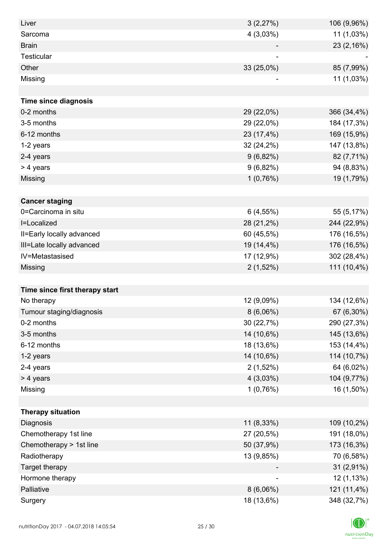| Liver                          | 3(2,27%)    | 106 (9,96%) |
|--------------------------------|-------------|-------------|
| Sarcoma                        | 4(3,03%)    | 11 (1,03%)  |
| <b>Brain</b>                   |             | 23 (2,16%)  |
| <b>Testicular</b>              |             |             |
| Other                          | 33 (25,0%)  | 85 (7,99%)  |
| Missing                        |             | 11 (1,03%)  |
|                                |             |             |
| <b>Time since diagnosis</b>    |             |             |
| 0-2 months                     | 29 (22,0%)  | 366 (34,4%) |
| 3-5 months                     | 29 (22,0%)  | 184 (17,3%) |
| 6-12 months                    | 23 (17,4%)  | 169 (15,9%) |
| 1-2 years                      | 32 (24,2%)  | 147 (13,8%) |
| 2-4 years                      | $9(6,82\%)$ | 82 (7,71%)  |
| > 4 years                      | $9(6,82\%)$ | 94 (8,83%)  |
| Missing                        | 1(0,76%)    | 19 (1,79%)  |
|                                |             |             |
| <b>Cancer staging</b>          |             |             |
| 0=Carcinoma in situ            | $6(4,55\%)$ | 55 (5,17%)  |
| I=Localized                    | 28 (21,2%)  | 244 (22,9%) |
| II=Early locally advanced      | 60 (45,5%)  | 176 (16,5%) |
| III=Late locally advanced      | 19 (14,4%)  | 176 (16,5%) |
| IV=Metastasised                | 17 (12,9%)  | 302 (28,4%) |
| Missing                        | $2(1,52\%)$ | 111 (10,4%) |
|                                |             |             |
| Time since first therapy start |             |             |
| No therapy                     | 12 (9,09%)  | 134 (12,6%) |
| Tumour staging/diagnosis       | $8(6,06\%)$ | 67 (6,30%)  |
| 0-2 months                     | 30 (22,7%)  | 290 (27,3%) |
| 3-5 months                     | 14 (10,6%)  | 145 (13,6%) |
| 6-12 months                    | 18 (13,6%)  | 153 (14,4%) |
| 1-2 years                      | 14 (10,6%)  | 114 (10,7%) |
| 2-4 years                      | $2(1,52\%)$ | 64 (6,02%)  |
| > 4 years                      | 4(3,03%)    | 104 (9,77%) |
| Missing                        | 1(0,76%)    | 16 (1,50%)  |
|                                |             |             |
| <b>Therapy situation</b>       |             |             |
| Diagnosis                      | 11 (8,33%)  | 109 (10,2%) |
| Chemotherapy 1st line          | 27 (20,5%)  | 191 (18,0%) |
| Chemotherapy > 1st line        | 50 (37,9%)  | 173 (16,3%) |
| Radiotherapy                   | 13 (9,85%)  | 70 (6,58%)  |
| Target therapy                 |             | 31 (2,91%)  |
| Hormone therapy                |             | 12 (1,13%)  |
| Palliative                     | 8(6,06%)    | 121 (11,4%) |
| Surgery                        | 18 (13,6%)  | 348 (32,7%) |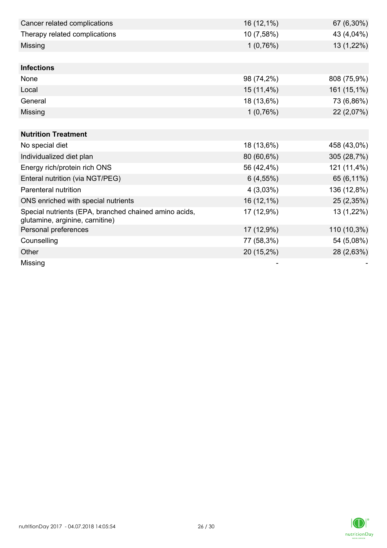| Cancer related complications                                                             | 16 (12,1%)  | 67 (6,30%)  |
|------------------------------------------------------------------------------------------|-------------|-------------|
| Therapy related complications                                                            | 10 (7,58%)  | 43 (4,04%)  |
| Missing                                                                                  | 1(0,76%)    | 13 (1,22%)  |
|                                                                                          |             |             |
| <b>Infections</b>                                                                        |             |             |
| None                                                                                     | 98 (74,2%)  | 808 (75,9%) |
| Local                                                                                    | 15 (11,4%)  | 161 (15,1%) |
| General                                                                                  | 18 (13,6%)  | 73 (6,86%)  |
| Missing                                                                                  | 1(0,76%)    | 22 (2,07%)  |
|                                                                                          |             |             |
| <b>Nutrition Treatment</b>                                                               |             |             |
| No special diet                                                                          | 18 (13,6%)  | 458 (43,0%) |
| Individualized diet plan                                                                 | 80 (60,6%)  | 305 (28,7%) |
| Energy rich/protein rich ONS                                                             | 56 (42,4%)  | 121 (11,4%) |
| Enteral nutrition (via NGT/PEG)                                                          | $6(4,55\%)$ | 65 (6,11%)  |
| Parenteral nutrition                                                                     | 4(3,03%)    | 136 (12,8%) |
| ONS enriched with special nutrients                                                      | 16 (12,1%)  | 25 (2,35%)  |
| Special nutrients (EPA, branched chained amino acids,<br>glutamine, arginine, carnitine) | 17 (12,9%)  | 13 (1,22%)  |
| Personal preferences                                                                     | 17 (12,9%)  | 110 (10,3%) |
| Counselling                                                                              | 77 (58,3%)  | 54 (5,08%)  |
| Other                                                                                    | 20 (15,2%)  | 28 (2,63%)  |
| Missing                                                                                  |             |             |

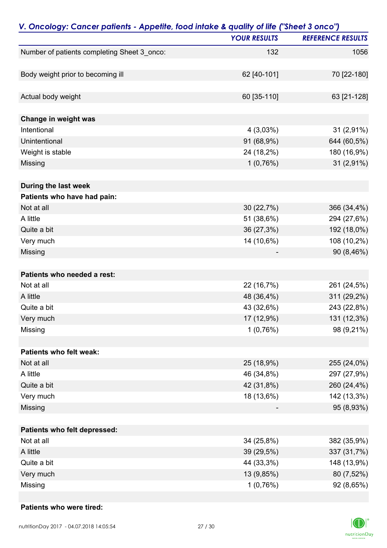| V. Oncology: Cancer patients - Appetite, food intake & quality of life ("Sheet 3 onco") |                     |                          |
|-----------------------------------------------------------------------------------------|---------------------|--------------------------|
|                                                                                         | <b>YOUR RESULTS</b> | <b>REFERENCE RESULTS</b> |
| Number of patients completing Sheet 3_onco:                                             | 132                 | 1056                     |
| Body weight prior to becoming ill                                                       | 62 [40-101]         | 70 [22-180]              |
|                                                                                         |                     |                          |
| Actual body weight                                                                      | 60 [35-110]         | 63 [21-128]              |
| Change in weight was                                                                    |                     |                          |
| Intentional                                                                             | 4(3,03%)            | 31 (2,91%)               |
| Unintentional                                                                           | 91 (68,9%)          | 644 (60,5%)              |
| Weight is stable                                                                        | 24 (18,2%)          | 180 (16,9%)              |
| Missing                                                                                 | 1(0,76%)            | 31 (2,91%)               |
| During the last week                                                                    |                     |                          |
| Patients who have had pain:                                                             |                     |                          |
| Not at all                                                                              | 30 (22,7%)          | 366 (34,4%)              |
| A little                                                                                | 51 (38,6%)          | 294 (27,6%)              |
| Quite a bit                                                                             | 36 (27,3%)          | 192 (18,0%)              |
| Very much                                                                               | 14 (10,6%)          | 108 (10,2%)              |
| Missing                                                                                 |                     | 90 (8,46%)               |
| Patients who needed a rest:                                                             |                     |                          |
| Not at all                                                                              | 22 (16,7%)          | 261 (24,5%)              |
| A little                                                                                | 48 (36,4%)          | 311 (29,2%)              |
| Quite a bit                                                                             | 43 (32,6%)          | 243 (22,8%)              |
| Very much                                                                               | 17 (12,9%)          | 131 (12,3%)              |
| Missing                                                                                 | 1(0,76%)            | 98 (9,21%)               |
| Patients who felt weak:                                                                 |                     |                          |
| Not at all                                                                              | 25 (18,9%)          | 255 (24,0%)              |
| A little                                                                                | 46 (34,8%)          | 297 (27,9%)              |
| Quite a bit                                                                             | 42 (31,8%)          | 260 (24,4%)              |
| Very much                                                                               | 18 (13,6%)          | 142 (13,3%)              |
| Missing                                                                                 |                     | 95 (8,93%)               |
|                                                                                         |                     |                          |
| Patients who felt depressed:                                                            |                     |                          |
| Not at all                                                                              | 34 (25,8%)          | 382 (35,9%)              |
| A little                                                                                | 39 (29,5%)          | 337 (31,7%)              |
| Quite a bit                                                                             | 44 (33,3%)          | 148 (13,9%)              |
| Very much                                                                               | 13 (9,85%)          | 80 (7,52%)               |
| Missing                                                                                 | 1(0,76%)            | 92 (8,65%)               |

#### **Patients who were tired:**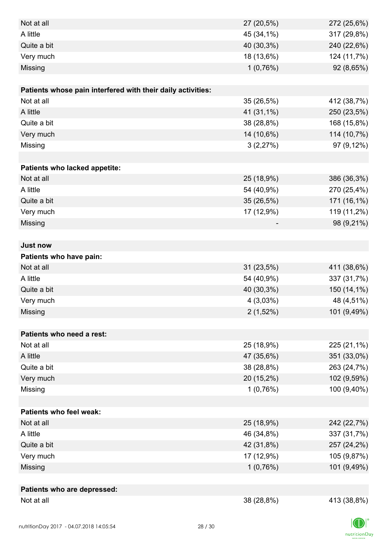| Not at all                                                  | 27 (20,5%)  | 272 (25,6%) |
|-------------------------------------------------------------|-------------|-------------|
| A little                                                    | 45 (34,1%)  | 317 (29,8%) |
| Quite a bit                                                 | 40 (30,3%)  | 240 (22,6%) |
| Very much                                                   | 18 (13,6%)  | 124 (11,7%) |
| Missing                                                     | 1(0,76%)    | 92 (8,65%)  |
|                                                             |             |             |
| Patients whose pain interfered with their daily activities: |             |             |
| Not at all                                                  | 35 (26,5%)  | 412 (38,7%) |
| A little                                                    | 41 (31,1%)  | 250 (23,5%) |
| Quite a bit                                                 | 38 (28,8%)  | 168 (15,8%) |
| Very much                                                   | 14 (10,6%)  | 114 (10,7%) |
| Missing                                                     | 3(2,27%)    | 97 (9,12%)  |
|                                                             |             |             |
| Patients who lacked appetite:                               |             |             |
| Not at all                                                  | 25 (18,9%)  | 386 (36,3%) |
| A little                                                    | 54 (40,9%)  | 270 (25,4%) |
| Quite a bit                                                 | 35 (26,5%)  | 171 (16,1%) |
| Very much                                                   | 17 (12,9%)  | 119 (11,2%) |
| Missing                                                     |             | 98 (9,21%)  |
|                                                             |             |             |
| <b>Just now</b>                                             |             |             |
| Patients who have pain:                                     |             |             |
| Not at all                                                  | 31 (23,5%)  | 411 (38,6%) |
| A little                                                    | 54 (40,9%)  | 337 (31,7%) |
| Quite a bit                                                 | 40 (30,3%)  | 150 (14,1%) |
| Very much                                                   | 4(3,03%)    | 48 (4,51%)  |
| Missing                                                     | $2(1,52\%)$ | 101 (9,49%) |
|                                                             |             |             |
| Patients who need a rest:                                   |             |             |
| Not at all                                                  | 25 (18,9%)  | 225 (21,1%) |
| A little                                                    | 47 (35,6%)  | 351 (33,0%) |
| Quite a bit                                                 | 38 (28,8%)  | 263 (24,7%) |
| Very much                                                   | 20 (15,2%)  | 102 (9,59%) |
| Missing                                                     | 1(0,76%)    | 100 (9,40%) |
|                                                             |             |             |
| <b>Patients who feel weak:</b>                              |             |             |
| Not at all                                                  | 25 (18,9%)  | 242 (22,7%) |
| A little                                                    | 46 (34,8%)  | 337 (31,7%) |
| Quite a bit                                                 | 42 (31,8%)  | 257 (24,2%) |
| Very much                                                   | 17 (12,9%)  | 105 (9,87%) |
| Missing                                                     | 1(0,76%)    | 101 (9,49%) |
|                                                             |             |             |
| Patients who are depressed:                                 |             |             |
| Not at all                                                  | 38 (28,8%)  | 413 (38,8%) |

 $|D|$  $\label{eq:2} \mathsf{nutritionDay}$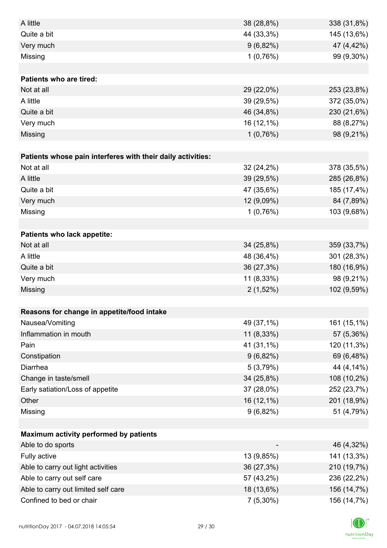| A little                                                    | 38 (28,8%)  | 338 (31,8%) |
|-------------------------------------------------------------|-------------|-------------|
| Quite a bit                                                 | 44 (33,3%)  | 145 (13,6%) |
| Very much                                                   | $9(6,82\%)$ | 47 (4,42%)  |
| Missing                                                     | 1(0,76%)    | 99 (9,30%)  |
|                                                             |             |             |
| <b>Patients who are tired:</b>                              |             |             |
| Not at all                                                  | 29 (22,0%)  | 253 (23,8%) |
| A little                                                    | 39 (29,5%)  | 372 (35,0%) |
| Quite a bit                                                 | 46 (34,8%)  | 230 (21,6%) |
| Very much                                                   | 16 (12,1%)  | 88 (8,27%)  |
| Missing                                                     | 1(0,76%)    | 98 (9,21%)  |
|                                                             |             |             |
| Patients whose pain interferes with their daily activities: |             |             |
| Not at all                                                  | 32 (24,2%)  | 378 (35,5%) |
| A little                                                    | 39 (29,5%)  | 285 (26,8%) |
| Quite a bit                                                 | 47 (35,6%)  | 185 (17,4%) |
| Very much                                                   | 12 (9,09%)  | 84 (7,89%)  |
| Missing                                                     | 1(0,76%)    | 103 (9,68%) |
|                                                             |             |             |
| Patients who lack appetite:                                 |             |             |
| Not at all                                                  | 34 (25,8%)  | 359 (33,7%) |
| A little                                                    | 48 (36,4%)  | 301 (28,3%) |
| Quite a bit                                                 | 36 (27,3%)  | 180 (16,9%) |
| Very much                                                   | 11 (8,33%)  | 98 (9,21%)  |
| Missing                                                     | $2(1,52\%)$ | 102 (9,59%) |
|                                                             |             |             |
| Reasons for change in appetite/food intake                  |             |             |
| Nausea/Vomiting                                             | 49 (37,1%)  | 161 (15,1%) |
| Inflammation in mouth                                       | 11 (8,33%)  | 57 (5,36%)  |
| Pain                                                        | 41 (31,1%)  | 120 (11,3%) |
| Constipation                                                | $9(6,82\%)$ | 69 (6,48%)  |
| Diarrhea                                                    | 5(3,79%)    | 44 (4,14%)  |
| Change in taste/smell                                       | 34 (25,8%)  | 108 (10,2%) |
| Early satiation/Loss of appetite                            | 37 (28,0%)  | 252 (23,7%) |
| Other                                                       | 16 (12,1%)  | 201 (18,9%) |
| Missing                                                     | 9(6,82%)    | 51 (4,79%)  |
|                                                             |             |             |
| Maximum activity performed by patients                      |             |             |
| Able to do sports                                           |             | 46 (4,32%)  |
| Fully active                                                | 13 (9,85%)  | 141 (13,3%) |
| Able to carry out light activities                          | 36 (27,3%)  | 210 (19,7%) |
| Able to carry out self care                                 | 57 (43,2%)  | 236 (22,2%) |
| Able to carry out limited self care                         | 18 (13,6%)  | 156 (14,7%) |
| Confined to bed or chair                                    | $7(5,30\%)$ | 156 (14,7%) |